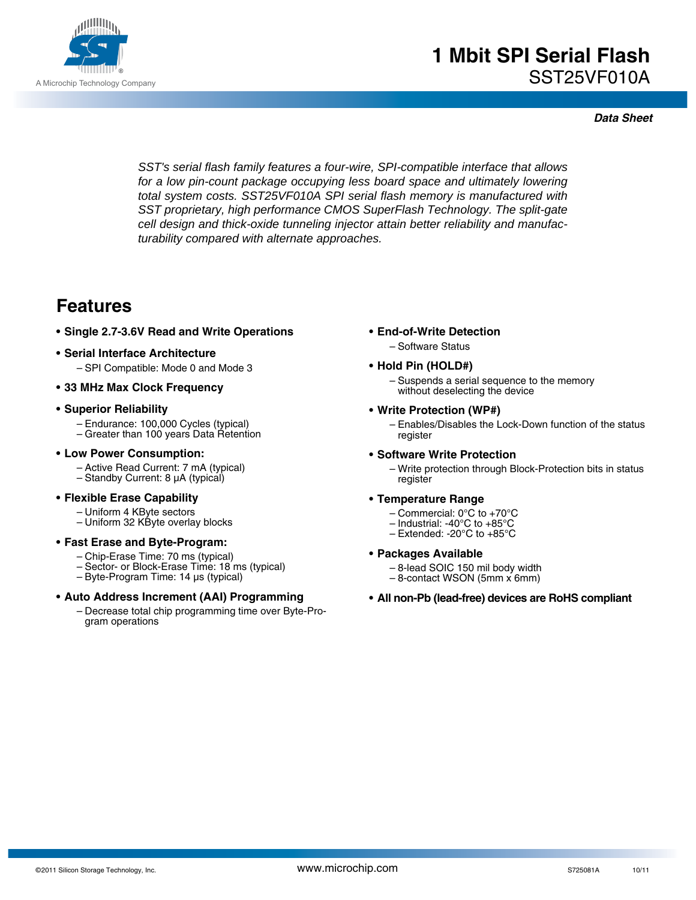

*SST's serial flash family features a four-wire, SPI-compatible interface that allows for a low pin-count package occupying less board space and ultimately lowering total system costs. SST25VF010A SPI serial flash memory is manufactured with SST proprietary, high performance CMOS SuperFlash Technology. The split-gate cell design and thick-oxide tunneling injector attain better reliability and manufacturability compared with alternate approaches.* 

## **Features**

- **Single 2.7-3.6V Read and Write Operations**
- **Serial Interface Architecture** – SPI Compatible: Mode 0 and Mode 3
- **33 MHz Max Clock Frequency**

#### **• Superior Reliability**

- Endurance: 100,000 Cycles (typical)
- Greater than 100 years Data Retention

#### **• Low Power Consumption:**

- Active Read Current: 7 mA (typical)
- Standby Current: 8 µA (typical)

#### **• Flexible Erase Capability**

- Uniform 4 KByte sectors
- Uniform 32 KByte overlay blocks

#### **• Fast Erase and Byte-Program:**

- Chip-Erase Time: 70 ms (typical)
- Sector- or Block-Erase Time: 18 ms (typical)
- Byte-Program Time: 14 µs (typical)

#### **• Auto Address Increment (AAI) Programming**

– Decrease total chip programming time over Byte-Program operations

- **End-of-Write Detection**
	- Software Status

#### **• Hold Pin (HOLD#)**

– Suspends a serial sequence to the memory without deselecting the device

#### **• Write Protection (WP#)**

– Enables/Disables the Lock-Down function of the status register

#### **• Software Write Protection**

– Write protection through Block-Protection bits in status register

#### **• Temperature Range**

- Commercial: 0°C to +70°C
- Industrial: -40°C to +85°C
- Extended: -20°C to +85°C

#### **• Packages Available**

- 8-lead SOIC 150 mil body width
- 8-contact WSON (5mm x 6mm)
- **All non-Pb (lead-free) devices are RoHS compliant**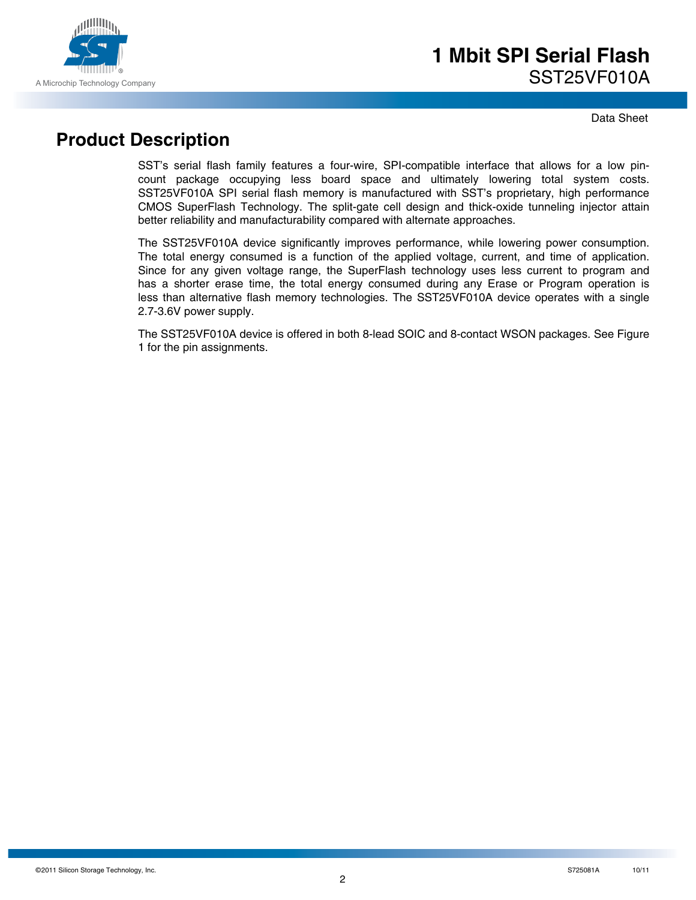

Data Sheet

# **Product Description**

SST's serial flash family features a four-wire, SPI-compatible interface that allows for a low pincount package occupying less board space and ultimately lowering total system costs. SST25VF010A SPI serial flash memory is manufactured with SST's proprietary, high performance CMOS SuperFlash Technology. The split-gate cell design and thick-oxide tunneling injector attain better reliability and manufacturability compared with alternate approaches.

The SST25VF010A device significantly improves performance, while lowering power consumption. The total energy consumed is a function of the applied voltage, current, and time of application. Since for any given voltage range, the SuperFlash technology uses less current to program and has a shorter erase time, the total energy consumed during any Erase or Program operation is less than alternative flash memory technologies. The SST25VF010A device operates with a single 2.7-3.6V power supply.

The SST25VF010A device is offered in both 8-lead SOIC and 8-contact WSON packages. See Figure 1 for the pin assignments.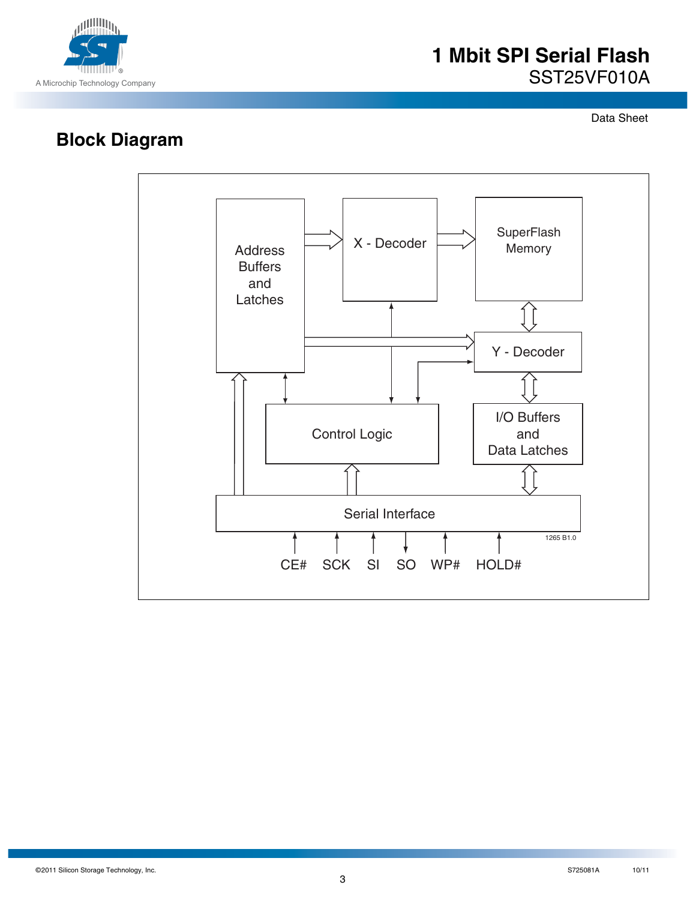

Data Sheet

# **Block Diagram**

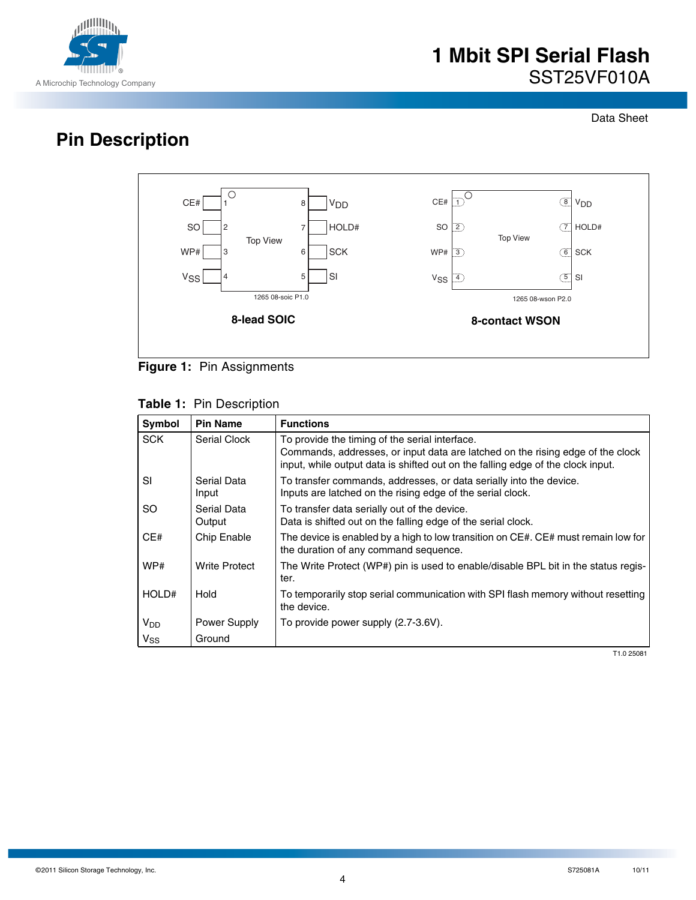

Data Sheet

# **Pin Description**





### **Table 1:** Pin Description

| Symbol                | <b>Pin Name</b>      | <b>Functions</b>                                                                                                                                                  |
|-----------------------|----------------------|-------------------------------------------------------------------------------------------------------------------------------------------------------------------|
| <b>SCK</b>            | Serial Clock         | To provide the timing of the serial interface.                                                                                                                    |
|                       |                      | Commands, addresses, or input data are latched on the rising edge of the clock<br>input, while output data is shifted out on the falling edge of the clock input. |
| <b>SI</b>             | Serial Data<br>Input | To transfer commands, addresses, or data serially into the device.<br>Inputs are latched on the rising edge of the serial clock.                                  |
| SO.                   | Serial Data          | To transfer data serially out of the device.                                                                                                                      |
|                       | Output               | Data is shifted out on the falling edge of the serial clock.                                                                                                      |
| CE#                   | Chip Enable          | The device is enabled by a high to low transition on CE#. CE# must remain low for<br>the duration of any command sequence.                                        |
| WP#                   | <b>Write Protect</b> | The Write Protect (WP#) pin is used to enable/disable BPL bit in the status regis-<br>ter.                                                                        |
| HOLD#                 | Hold                 | To temporarily stop serial communication with SPI flash memory without resetting<br>the device.                                                                   |
| <b>V<sub>DD</sub></b> | Power Supply         | To provide power supply (2.7-3.6V).                                                                                                                               |
| $V_{SS}$              | Ground               |                                                                                                                                                                   |

T1.0 25081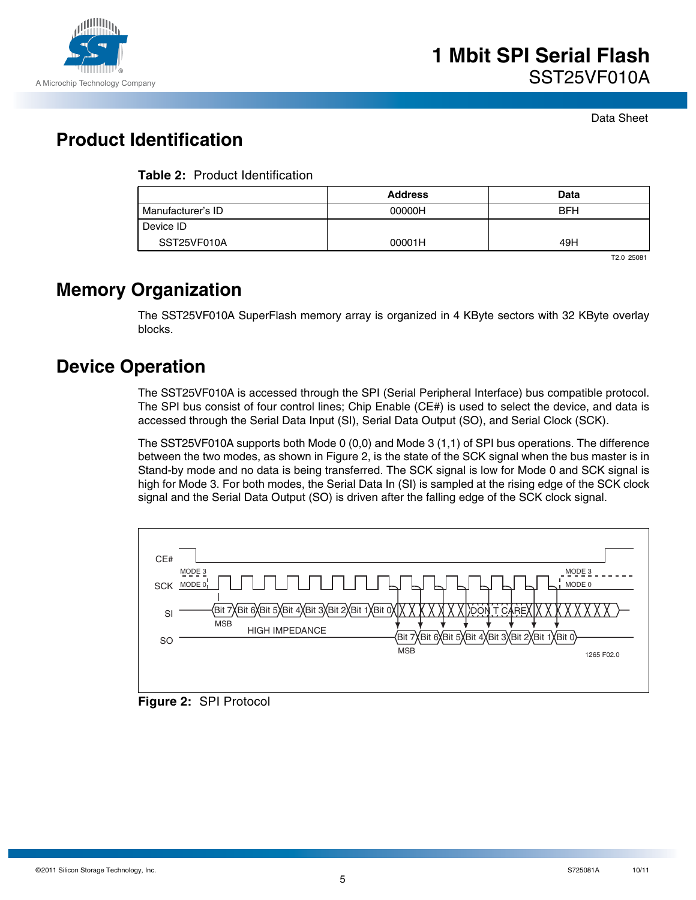

# **Product Identification**

|                   | <b>Address</b> | Data       |
|-------------------|----------------|------------|
| Manufacturer's ID | 00000H         | <b>BFH</b> |
| Device ID         |                |            |
| SST25VF010A       | 00001H         | 49H        |

T2.0 25081

## **Memory Organization**

The SST25VF010A SuperFlash memory array is organized in 4 KByte sectors with 32 KByte overlay blocks.

# **Device Operation**

The SST25VF010A is accessed through the SPI (Serial Peripheral Interface) bus compatible protocol. The SPI bus consist of four control lines; Chip Enable (CE#) is used to select the device, and data is accessed through the Serial Data Input (SI), Serial Data Output (SO), and Serial Clock (SCK).

The SST25VF010A supports both Mode 0 (0,0) and Mode 3 (1,1) of SPI bus operations. The difference between the two modes, as shown in Figure 2, is the state of the SCK signal when the bus master is in Stand-by mode and no data is being transferred. The SCK signal is low for Mode 0 and SCK signal is high for Mode 3. For both modes, the Serial Data In (SI) is sampled at the rising edge of the SCK clock signal and the Serial Data Output (SO) is driven after the falling edge of the SCK clock signal.



**Figure 2:** SPI Protocol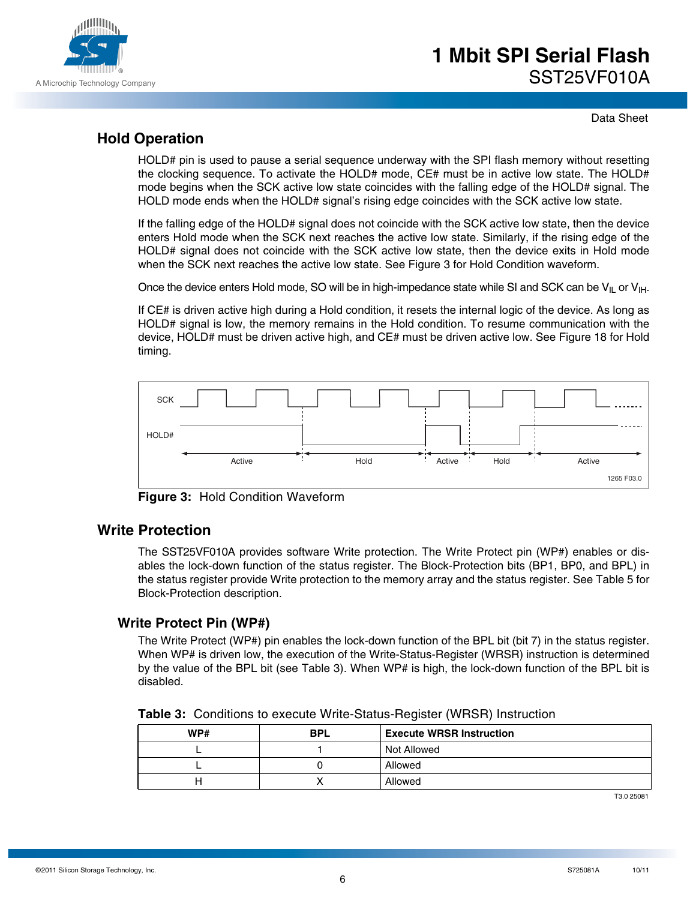

Data Sheet

## **Hold Operation**

HOLD# pin is used to pause a serial sequence underway with the SPI flash memory without resetting the clocking sequence. To activate the HOLD# mode, CE# must be in active low state. The HOLD# mode begins when the SCK active low state coincides with the falling edge of the HOLD# signal. The HOLD mode ends when the HOLD# signal's rising edge coincides with the SCK active low state.

If the falling edge of the HOLD# signal does not coincide with the SCK active low state, then the device enters Hold mode when the SCK next reaches the active low state. Similarly, if the rising edge of the HOLD# signal does not coincide with the SCK active low state, then the device exits in Hold mode when the SCK next reaches the active low state. See Figure 3 for Hold Condition waveform.

Once the device enters Hold mode, SO will be in high-impedance state while SI and SCK can be  $V_{II}$  or  $V_{III}$ .

If CE# is driven active high during a Hold condition, it resets the internal logic of the device. As long as HOLD# signal is low, the memory remains in the Hold condition. To resume communication with the device, HOLD# must be driven active high, and CE# must be driven active low. See Figure 18 for Hold timing.



**Figure 3:** Hold Condition Waveform

### **Write Protection**

The SST25VF010A provides software Write protection. The Write Protect pin (WP#) enables or disables the lock-down function of the status register. The Block-Protection bits (BP1, BP0, and BPL) in the status register provide Write protection to the memory array and the status register. See Table 5 for Block-Protection description.

### **Write Protect Pin (WP#)**

The Write Protect (WP#) pin enables the lock-down function of the BPL bit (bit 7) in the status register. When WP# is driven low, the execution of the Write-Status-Register (WRSR) instruction is determined by the value of the BPL bit (see Table 3). When WP# is high, the lock-down function of the BPL bit is disabled.

| WP# | <b>BPL</b> | <b>Execute WRSR Instruction</b> |
|-----|------------|---------------------------------|
|     |            | Not Allowed                     |
|     |            | Allowed                         |
|     |            | Allowed                         |

T3.0 25081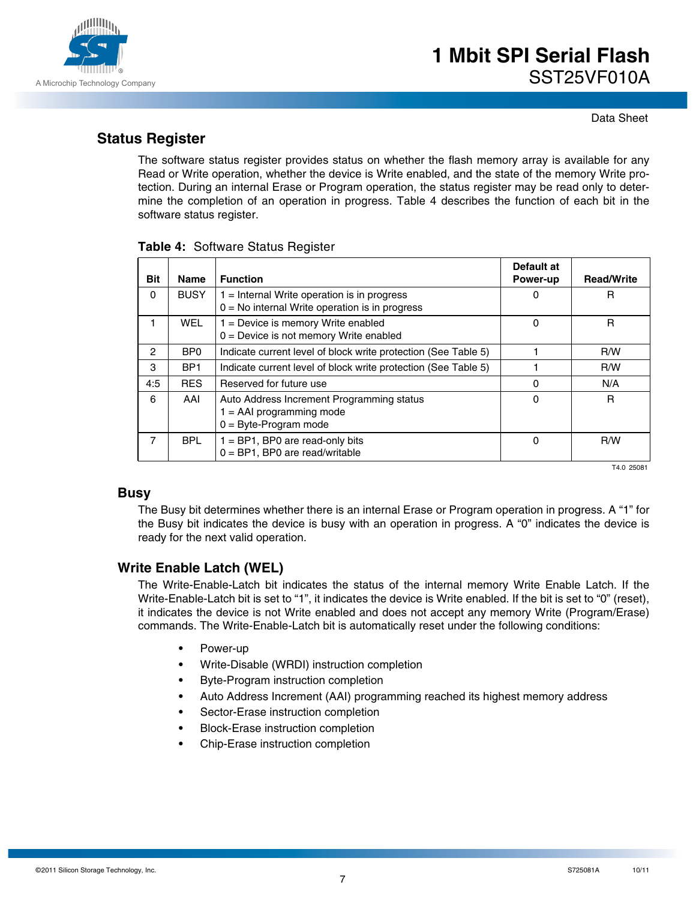

Data Sheet

## **Status Register**

The software status register provides status on whether the flash memory array is available for any Read or Write operation, whether the device is Write enabled, and the state of the memory Write protection. During an internal Erase or Program operation, the status register may be read only to determine the completion of an operation in progress. Table 4 describes the function of each bit in the software status register.

| Bit      | <b>Name</b>     | <b>Function</b>                                                                                    | Default at<br>Power-up | <b>Read/Write</b> |
|----------|-----------------|----------------------------------------------------------------------------------------------------|------------------------|-------------------|
| $\Omega$ | <b>BUSY</b>     | $1 =$ Internal Write operation is in progress<br>$0 = No$ internal Write operation is in progress  | 0                      | R                 |
| 1        | <b>WEL</b>      | $1 =$ Device is memory Write enabled<br>$0 =$ Device is not memory Write enabled                   | 0                      | R                 |
| 2        | B <sub>P0</sub> | Indicate current level of block write protection (See Table 5)                                     |                        | R/W               |
| 3        | BP <sub>1</sub> | Indicate current level of block write protection (See Table 5)                                     |                        | R/W               |
| 4:5      | <b>RES</b>      | Reserved for future use                                                                            | 0                      | N/A               |
| 6        | AAI             | Auto Address Increment Programming status<br>$1 = AAI programming mode$<br>$0 =$ Byte-Program mode | 0                      | R                 |
| 7        | <b>BPL</b>      | $1 = BP1$ , BP0 are read-only bits<br>$0 = BP1$ , BP0 are read/writable                            | 0                      | R/W               |

#### **Table 4:** Software Status Register

T4.0 25081

### **Busy**

The Busy bit determines whether there is an internal Erase or Program operation in progress. A "1" for the Busy bit indicates the device is busy with an operation in progress. A "0" indicates the device is ready for the next valid operation.

### **Write Enable Latch (WEL)**

The Write-Enable-Latch bit indicates the status of the internal memory Write Enable Latch. If the Write-Enable-Latch bit is set to "1", it indicates the device is Write enabled. If the bit is set to "0" (reset), it indicates the device is not Write enabled and does not accept any memory Write (Program/Erase) commands. The Write-Enable-Latch bit is automatically reset under the following conditions:

- **•** Power-up
- **•** Write-Disable (WRDI) instruction completion
- **•** Byte-Program instruction completion
- **•** Auto Address Increment (AAI) programming reached its highest memory address
- **•** Sector-Erase instruction completion
- **•** Block-Erase instruction completion
- **•** Chip-Erase instruction completion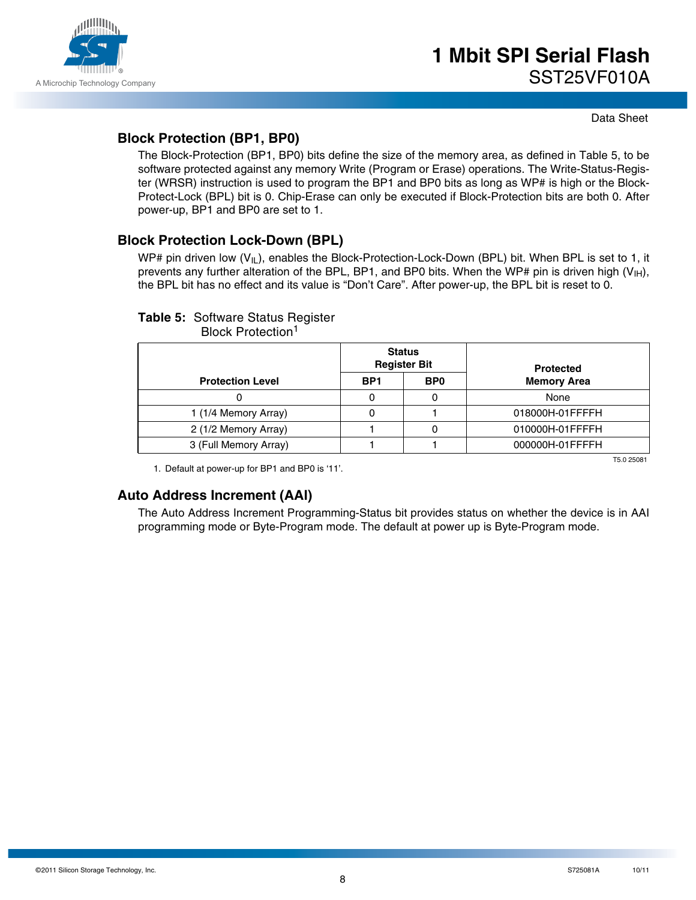

### **Block Protection (BP1, BP0)**

The Block-Protection (BP1, BP0) bits define the size of the memory area, as defined in Table 5, to be software protected against any memory Write (Program or Erase) operations. The Write-Status-Register (WRSR) instruction is used to program the BP1 and BP0 bits as long as WP# is high or the Block-Protect-Lock (BPL) bit is 0. Chip-Erase can only be executed if Block-Protection bits are both 0. After power-up, BP1 and BP0 are set to 1.

### **Block Protection Lock-Down (BPL)**

WP# pin driven low  $(V_{II})$ , enables the Block-Protection-Lock-Down (BPL) bit. When BPL is set to 1, it prevents any further alteration of the BPL, BP1, and BP0 bits. When the WP# pin is driven high ( $V_{H}$ ), the BPL bit has no effect and its value is "Don't Care". After power-up, the BPL bit is reset to 0.

### **Table 5:** Software Status Register

Block Protection<sup>1</sup>

|                         |                 | <b>Status</b><br><b>Register Bit</b> | <b>Protected</b>   |  |  |
|-------------------------|-----------------|--------------------------------------|--------------------|--|--|
| <b>Protection Level</b> | BP <sub>1</sub> | B <sub>P0</sub>                      | <b>Memory Area</b> |  |  |
|                         |                 | U                                    | None               |  |  |
| 1 (1/4 Memory Array)    |                 |                                      | 018000H-01FFFFH    |  |  |
| 2 (1/2 Memory Array)    |                 |                                      | 010000H-01FFFFH    |  |  |
| 3 (Full Memory Array)   |                 |                                      | 000000H-01FFFFH    |  |  |
|                         |                 |                                      | T5 0 25081         |  |  |

1. Default at power-up for BP1 and BP0 is '11'.

### **Auto Address Increment (AAI)**

The Auto Address Increment Programming-Status bit provides status on whether the device is in AAI programming mode or Byte-Program mode. The default at power up is Byte-Program mode.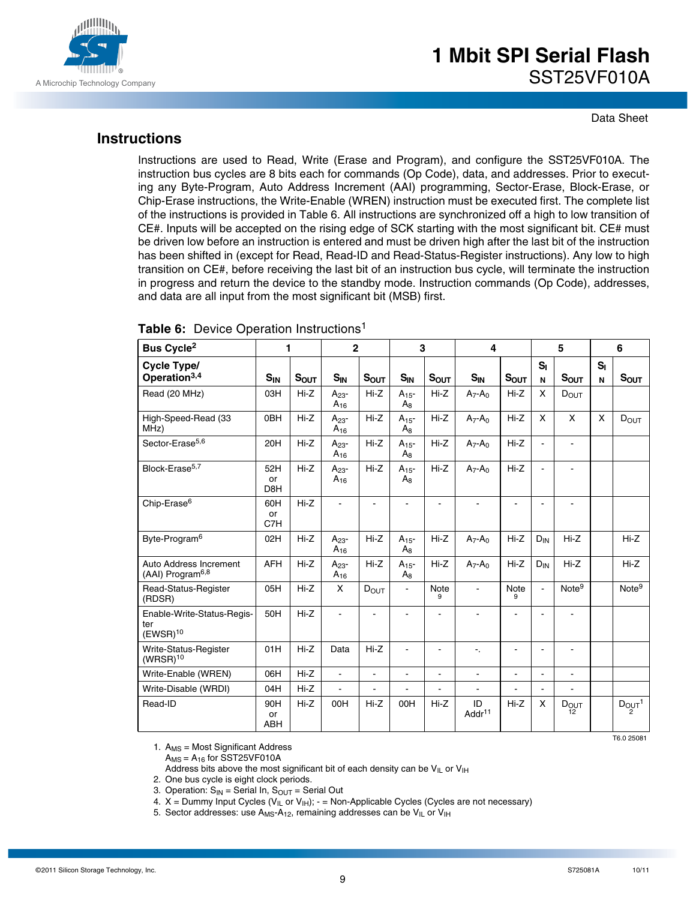

Data Sheet

### **Instructions**

Instructions are used to Read, Write (Erase and Program), and configure the SST25VF010A. The instruction bus cycles are 8 bits each for commands (Op Code), data, and addresses. Prior to executing any Byte-Program, Auto Address Increment (AAI) programming, Sector-Erase, Block-Erase, or Chip-Erase instructions, the Write-Enable (WREN) instruction must be executed first. The complete list of the instructions is provided in Table 6. All instructions are synchronized off a high to low transition of CE#. Inputs will be accepted on the rising edge of SCK starting with the most significant bit. CE# must be driven low before an instruction is entered and must be driven high after the last bit of the instruction has been shifted in (except for Read, Read-ID and Read-Status-Register instructions). Any low to high transition on CE#, before receiving the last bit of an instruction bus cycle, will terminate the instruction in progress and return the device to the standby mode. Instruction commands (Op Code), addresses, and data are all input from the most significant bit (MSB) first.

| Bus Cycle <sup>2</sup>                                    | 1                       |           | $\mathbf{2}$             |                | 3                     |                | 4                        |                          |                       | 5                 |            | 6                  |
|-----------------------------------------------------------|-------------------------|-----------|--------------------------|----------------|-----------------------|----------------|--------------------------|--------------------------|-----------------------|-------------------|------------|--------------------|
| Cycle Type/<br>Operation <sup>3,4</sup>                   | $S_{IN}$                | $S_{OUT}$ | $S_{IN}$                 | $S_{OUT}$      | $S_{IN}$              | $S_{OUT}$      | $S_{IN}$                 | $S_{OUT}$                | $S_I$<br>$\mathsf{N}$ | $S_{OUT}$         | $S_I$<br>N | $S_{OUT}$          |
| Read (20 MHz)                                             | 03H                     | $Hi-Z$    | $A_{23}$ -<br>$A_{16}$   | $Hi-Z$         | $A_{15}$ -<br>$A_{8}$ | $Hi-Z$         | $A_7 - A_0$              | $Hi-Z$                   | X                     | DOUT              |            |                    |
| High-Speed-Read (33<br>MHz)                               | 0BH                     | $Hi-Z$    | $A_{23}$ -<br>$A_{16}$   | $Hi-Z$         | $A_{15}$ -<br>$A_{8}$ | $Hi-Z$         | $A_7 - A_0$              | $Hi-Z$                   | X                     | X                 | X          | $D_{OUT}$          |
| Sector-Erase <sup>5,6</sup>                               | 20H                     | $Hi-Z$    | $A_{23}$ -<br>$A_{16}$   | $Hi-Z$         | $A_{15}$ -<br>$A_8$   | $Hi-Z$         | $A_7 - A_0$              | $Hi-Z$                   | $\blacksquare$        | L.                |            |                    |
| Block-Erase <sup>5,7</sup>                                | 52H<br>or<br>D8H        | Hi-Z      | $A_{23}$ -<br>$A_{16}$   | Hi-Z           | $A_{15}$ -<br>$A_8$   | Hi-Z           | $A_7 - A_0$              | $Hi-Z$                   | $\mathbf{r}$          |                   |            |                    |
| Chip-Erase <sup>6</sup>                                   | 60H<br>or<br>C7H        | $Hi-Z$    |                          |                |                       |                |                          |                          |                       |                   |            |                    |
| Byte-Program <sup>6</sup>                                 | 02H                     | $Hi-Z$    | $A_{23}$ -<br>$A_{16}$   | $Hi-Z$         | $A_{15}$ -<br>$A_8$   | $Hi-Z$         | $A_7 - A_0$              | $Hi-Z$                   | $D_{IN}$              | $Hi-Z$            |            | $Hi-Z$             |
| Auto Address Increment<br>(AAI) Program <sup>6,8</sup>    | <b>AFH</b>              | Hi-Z      | $A_{23}$ -<br>$A_{16}$   | Hi-Z           | $A_{15}$ -<br>$A_8$   | $Hi-Z$         | $A_7 - A_0$              | Hi-Z                     | $D_{IN}$              | Hi-Z              |            | Hi-Z               |
| Read-Status-Register<br>(RDSR)                            | 05H                     | $Hi-Z$    | X                        | $D_{OUT}$      |                       | Note<br>9      | ٠                        | Note<br>9                | $\sim$                | Note <sup>9</sup> |            | Note <sup>9</sup>  |
| Enable-Write-Status-Regis-<br>ter<br>(EWSR) <sup>10</sup> | 50H                     | $Hi-Z$    | $\overline{a}$           |                | ÷                     | ÷.             | $\blacksquare$           |                          |                       |                   |            |                    |
| Write-Status-Register<br>$(WRSR)^{10}$                    | 01H                     | $Hi-Z$    | Data                     | $Hi-Z$         | $\blacksquare$        | $\blacksquare$ | ۰.                       | $\overline{\phantom{a}}$ | $\sim$                | $\blacksquare$    |            |                    |
| Write-Enable (WREN)                                       | 06H                     | $Hi-Z$    | $\overline{\phantom{a}}$ | $\blacksquare$ | ä,                    | $\blacksquare$ | $\blacksquare$           | L.                       | $\blacksquare$        | $\blacksquare$    |            |                    |
| Write-Disable (WRDI)                                      | 04H                     | $Hi-Z$    |                          |                |                       | $\blacksquare$ |                          |                          |                       |                   |            |                    |
| Read-ID                                                   | 90H<br>or<br><b>ABH</b> | Hi-Z      | 00H                      | $Hi-Z$         | 00H                   | $Hi-Z$         | ID<br>Addr <sup>11</sup> | $Hi-Z$                   | X                     | DOUT<br>12        |            | $D_{\text{OUT}}^1$ |
|                                                           |                         |           |                          |                |                       |                |                          |                          |                       |                   |            | T6.0 25081         |

#### **Table 6:** Device Operation Instructions<sup>1</sup>

1.  $A_{MS}$  = Most Significant Address  $A_{MS} = A_{16}$  for SST25VF010A

Address bits above the most significant bit of each density can be  $V_{IL}$  or  $V_{IH}$ 

2. One bus cycle is eight clock periods.

3. Operation:  $S_{IN}$  = Serial In,  $S_{OUT}$  = Serial Out

- 4.  $X =$  Dummy Input Cycles ( $V_{I\perp}$  or  $V_{I\parallel}$ ); = Non-Applicable Cycles (Cycles are not necessary)
- 5. Sector addresses: use  $A_{MS} A_{12}$ , remaining addresses can be  $V_{IL}$  or  $V_{IH}$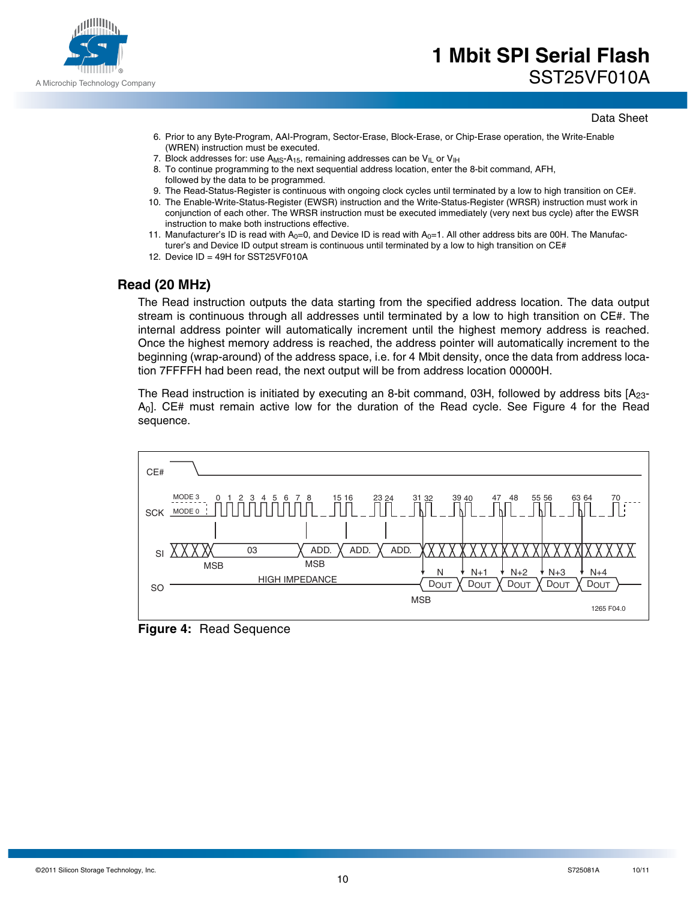

- 6. Prior to any Byte-Program, AAI-Program, Sector-Erase, Block-Erase, or Chip-Erase operation, the Write-Enable (WREN) instruction must be executed.
- 7. Block addresses for: use  $A_{MS} A_{15}$ , remaining addresses can be  $V_{IL}$  or  $V_{IH}$
- 8. To continue programming to the next sequential address location, enter the 8-bit command, AFH, followed by the data to be programmed.
- 9. The Read-Status-Register is continuous with ongoing clock cycles until terminated by a low to high transition on CE#.
- 10. The Enable-Write-Status-Register (EWSR) instruction and the Write-Status-Register (WRSR) instruction must work in conjunction of each other. The WRSR instruction must be executed immediately (very next bus cycle) after the EWSR instruction to make both instructions effective.
- 11. Manufacturer's ID is read with  $A_0=0$ , and Device ID is read with  $A_0=1$ . All other address bits are 00H. The Manufacturer's and Device ID output stream is continuous until terminated by a low to high transition on CE#
- 12. Device ID = 49H for SST25VF010A

### **Read (20 MHz)**

The Read instruction outputs the data starting from the specified address location. The data output stream is continuous through all addresses until terminated by a low to high transition on CE#. The internal address pointer will automatically increment until the highest memory address is reached. Once the highest memory address is reached, the address pointer will automatically increment to the beginning (wrap-around) of the address space, i.e. for 4 Mbit density, once the data from address location 7FFFFH had been read, the next output will be from address location 00000H.

The Read instruction is initiated by executing an 8-bit command, 03H, followed by address bits  $[A<sub>23</sub>]$ A0]. CE# must remain active low for the duration of the Read cycle. See Figure 4 for the Read sequence.



**Figure 4:** Read Sequence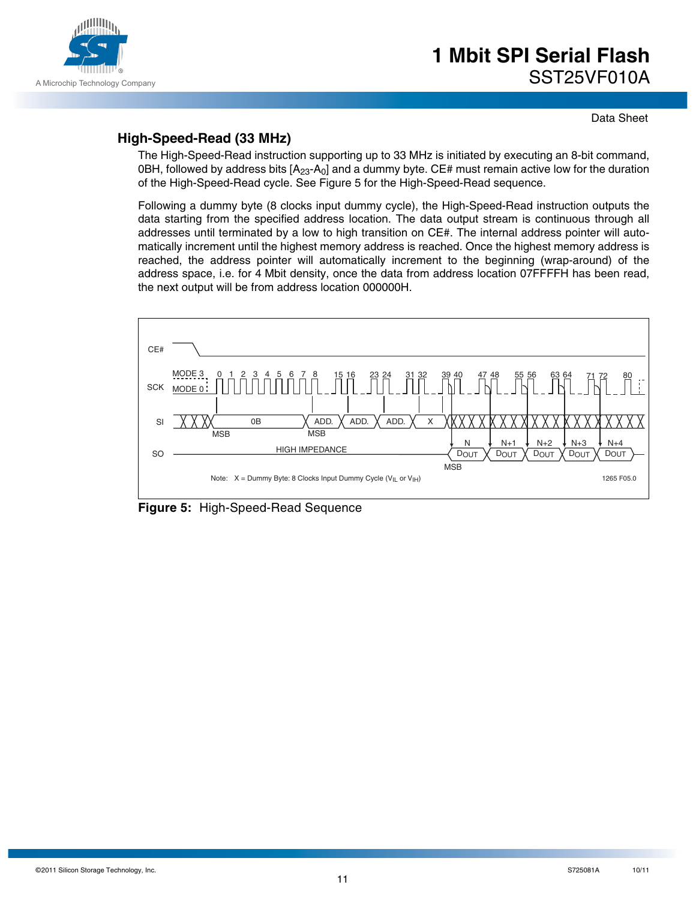

### **High-Speed-Read (33 MHz)**

The High-Speed-Read instruction supporting up to 33 MHz is initiated by executing an 8-bit command, 0BH, followed by address bits  $[A<sub>23</sub>-A<sub>0</sub>]$  and a dummy byte. CE# must remain active low for the duration of the High-Speed-Read cycle. See Figure 5 for the High-Speed-Read sequence.

Following a dummy byte (8 clocks input dummy cycle), the High-Speed-Read instruction outputs the data starting from the specified address location. The data output stream is continuous through all addresses until terminated by a low to high transition on CE#. The internal address pointer will automatically increment until the highest memory address is reached. Once the highest memory address is reached, the address pointer will automatically increment to the beginning (wrap-around) of the address space, i.e. for 4 Mbit density, once the data from address location 07FFFFH has been read, the next output will be from address location 000000H.



**Figure 5:** High-Speed-Read Sequence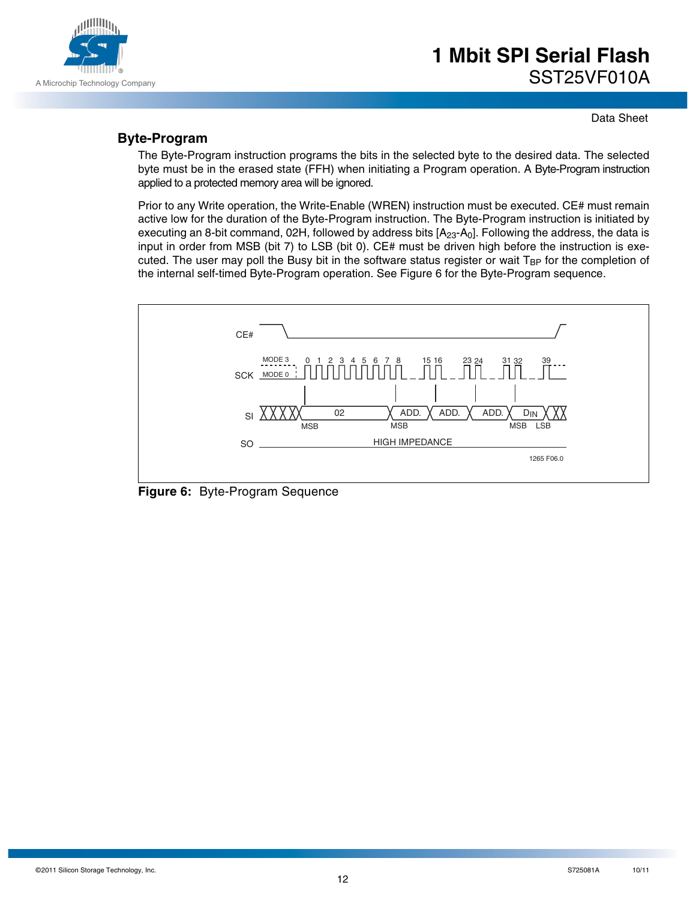

Data Sheet

### **Byte-Program**

The Byte-Program instruction programs the bits in the selected byte to the desired data. The selected byte must be in the erased state (FFH) when initiating a Program operation. A Byte-Program instruction applied to a protected memory area will be ignored.

Prior to any Write operation, the Write-Enable (WREN) instruction must be executed. CE# must remain active low for the duration of the Byte-Program instruction. The Byte-Program instruction is initiated by executing an 8-bit command, 02H, followed by address bits  $[A<sub>23</sub>-A<sub>0</sub>]$ . Following the address, the data is input in order from MSB (bit 7) to LSB (bit 0). CE# must be driven high before the instruction is executed. The user may poll the Busy bit in the software status register or wait  $T_{BP}$  for the completion of the internal self-timed Byte-Program operation. See Figure 6 for the Byte-Program sequence.



**Figure 6:** Byte-Program Sequence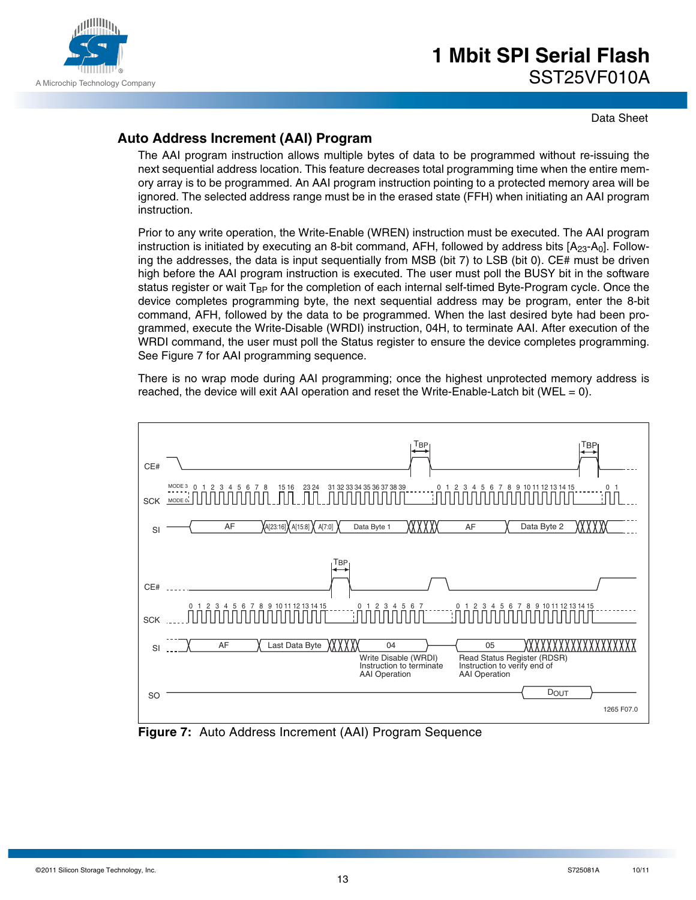

Data Sheet

## **Auto Address Increment (AAI) Program**

The AAI program instruction allows multiple bytes of data to be programmed without re-issuing the next sequential address location. This feature decreases total programming time when the entire memory array is to be programmed. An AAI program instruction pointing to a protected memory area will be ignored. The selected address range must be in the erased state (FFH) when initiating an AAI program instruction.

Prior to any write operation, the Write-Enable (WREN) instruction must be executed. The AAI program instruction is initiated by executing an 8-bit command, AFH, followed by address bits  $[A<sub>23</sub>-A<sub>0</sub>]$ . Following the addresses, the data is input sequentially from MSB (bit 7) to LSB (bit 0). CE# must be driven high before the AAI program instruction is executed. The user must poll the BUSY bit in the software status register or wait  $T_{BP}$  for the completion of each internal self-timed Byte-Program cycle. Once the device completes programming byte, the next sequential address may be program, enter the 8-bit command, AFH, followed by the data to be programmed. When the last desired byte had been programmed, execute the Write-Disable (WRDI) instruction, 04H, to terminate AAI. After execution of the WRDI command, the user must poll the Status register to ensure the device completes programming. See Figure 7 for AAI programming sequence.

There is no wrap mode during AAI programming; once the highest unprotected memory address is reached, the device will exit AAI operation and reset the Write-Enable-Latch bit (WEL  $= 0$ ).



**Figure 7:** Auto Address Increment (AAI) Program Sequence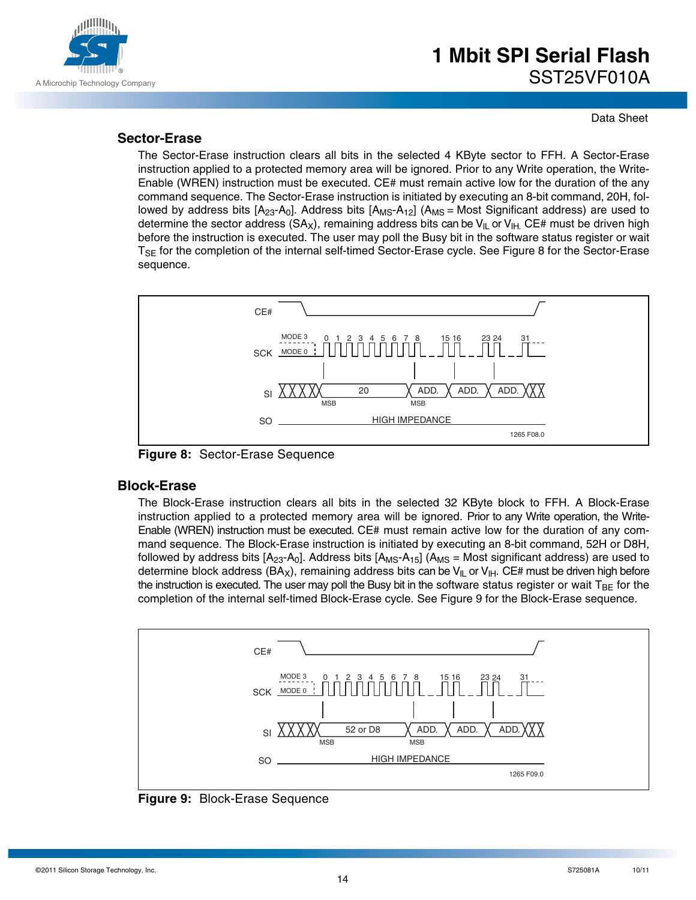

### **Sector-Erase**

The Sector-Erase instruction clears all bits in the selected 4 KByte sector to FFH. A Sector-Erase instruction applied to a protected memory area will be ignored. Prior to any Write operation, the Write-Enable (WREN) instruction must be executed. CE# must remain active low for the duration of the any command sequence. The Sector-Erase instruction is initiated by executing an 8-bit command, 20H, followed by address bits  $[A_{23}A_{0}]$ . Address bits  $[A_{MS}-A_{12}]$  ( $A_{MS}$  = Most Significant address) are used to determine the sector address (SA<sub>X</sub>), remaining address bits can be V<sub>IL</sub> or V<sub>IH.</sub> CE# must be driven high before the instruction is executed. The user may poll the Busy bit in the software status register or wait T<sub>SE</sub> for the completion of the internal self-timed Sector-Erase cycle. See Figure 8 for the Sector-Erase sequence.



**Figure 8:** Sector-Erase Sequence

### **Block-Erase**

The Block-Erase instruction clears all bits in the selected 32 KByte block to FFH. A Block-Erase instruction applied to a protected memory area will be ignored. Prior to any Write operation, the Write-Enable (WREN) instruction must be executed. CE# must remain active low for the duration of any command sequence. The Block-Erase instruction is initiated by executing an 8-bit command, 52H or D8H, followed by address bits  $[A_{23}A_{0}]$ . Address bits  $[A_{MS}A_{15}]$  ( $A_{MS}$  = Most significant address) are used to determine block address (BA<sub>X</sub>), remaining address bits can be V<sub>IL</sub> or V<sub>IH</sub>. CE# must be driven high before the instruction is executed. The user may poll the Busy bit in the software status register or wait  $T_{BF}$  for the completion of the internal self-timed Block-Erase cycle. See Figure 9 for the Block-Erase sequence.



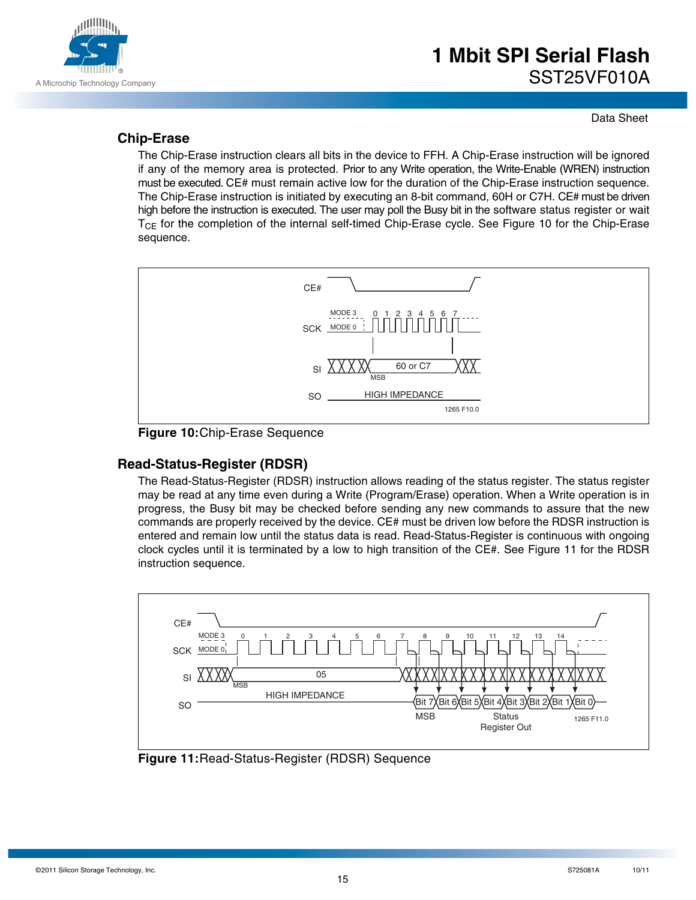

### **Chip-Erase**

The Chip-Erase instruction clears all bits in the device to FFH. A Chip-Erase instruction will be ignored if any of the memory area is protected. Prior to any Write operation, the Write-Enable (WREN) instruction must be executed. CE# must remain active low for the duration of the Chip-Erase instruction sequence. The Chip-Erase instruction is initiated by executing an 8-bit command, 60H or C7H. CE# must be driven high before the instruction is executed. The user may poll the Busy bit in the software status register or wait  $T_{CE}$  for the completion of the internal self-timed Chip-Erase cycle. See Figure 10 for the Chip-Erase sequence.



**Figure 10:**Chip-Erase Sequence

### **Read-Status-Register (RDSR)**

The Read-Status-Register (RDSR) instruction allows reading of the status register. The status register may be read at any time even during a Write (Program/Erase) operation. When a Write operation is in progress, the Busy bit may be checked before sending any new commands to assure that the new commands are properly received by the device. CE# must be driven low before the RDSR instruction is entered and remain low until the status data is read. Read-Status-Register is continuous with ongoing clock cycles until it is terminated by a low to high transition of the CE#. See Figure 11 for the RDSR instruction sequence.



**Figure 11:**Read-Status-Register (RDSR) Sequence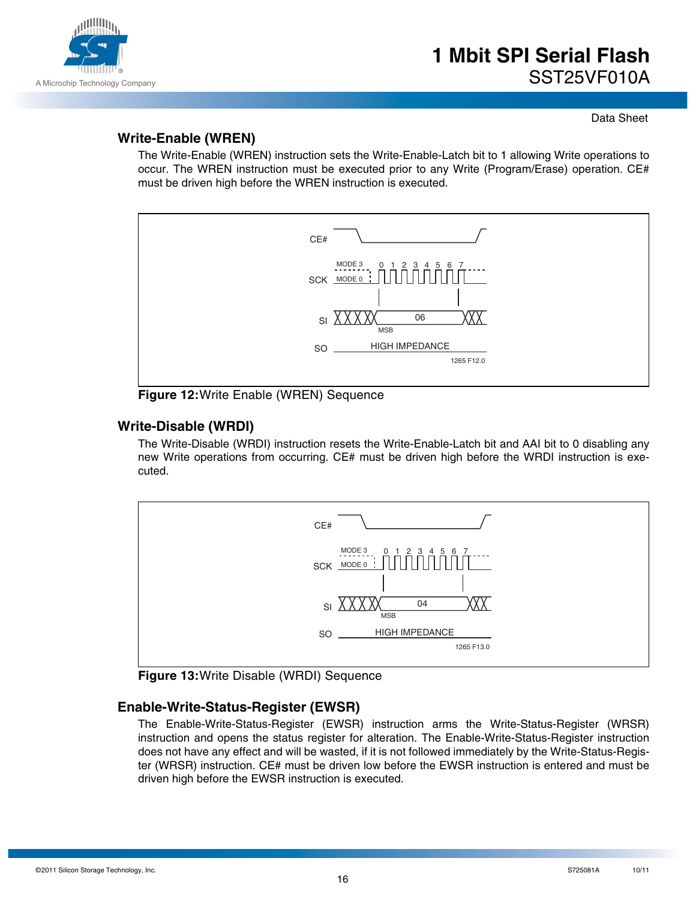

### **Write-Enable (WREN)**

The Write-Enable (WREN) instruction sets the Write-Enable-Latch bit to 1 allowing Write operations to occur. The WREN instruction must be executed prior to any Write (Program/Erase) operation. CE# must be driven high before the WREN instruction is executed.



**Figure 12:**Write Enable (WREN) Sequence

### **Write-Disable (WRDI)**

The Write-Disable (WRDI) instruction resets the Write-Enable-Latch bit and AAI bit to 0 disabling any new Write operations from occurring. CE# must be driven high before the WRDI instruction is executed.



**Figure 13:**Write Disable (WRDI) Sequence

### **Enable-Write-Status-Register (EWSR)**

The Enable-Write-Status-Register (EWSR) instruction arms the Write-Status-Register (WRSR) instruction and opens the status register for alteration. The Enable-Write-Status-Register instruction does not have any effect and will be wasted, if it is not followed immediately by the Write-Status-Register (WRSR) instruction. CE# must be driven low before the EWSR instruction is entered and must be driven high before the EWSR instruction is executed.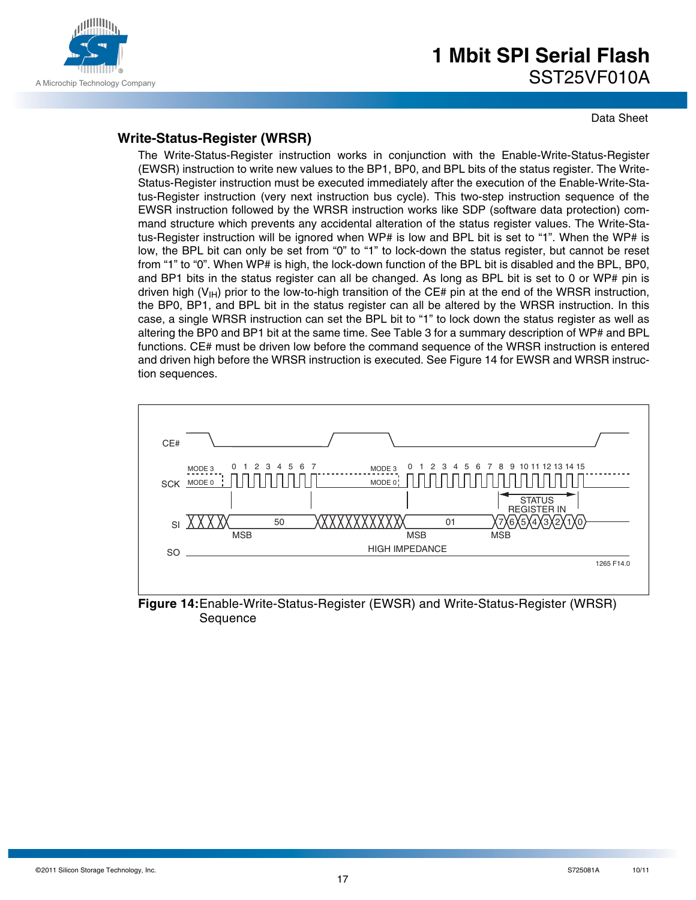

Data Sheet

### **Write-Status-Register (WRSR)**

The Write-Status-Register instruction works in conjunction with the Enable-Write-Status-Register (EWSR) instruction to write new values to the BP1, BP0, and BPL bits of the status register. The Write-Status-Register instruction must be executed immediately after the execution of the Enable-Write-Status-Register instruction (very next instruction bus cycle). This two-step instruction sequence of the EWSR instruction followed by the WRSR instruction works like SDP (software data protection) command structure which prevents any accidental alteration of the status register values. The Write-Status-Register instruction will be ignored when WP# is low and BPL bit is set to "1". When the WP# is low, the BPL bit can only be set from "0" to "1" to lock-down the status register, but cannot be reset from "1" to "0". When WP# is high, the lock-down function of the BPL bit is disabled and the BPL, BP0, and BP1 bits in the status register can all be changed. As long as BPL bit is set to 0 or WP# pin is driven high (V<sub>IH</sub>) prior to the low-to-high transition of the CE# pin at the end of the WRSR instruction, the BP0, BP1, and BPL bit in the status register can all be altered by the WRSR instruction. In this case, a single WRSR instruction can set the BPL bit to "1" to lock down the status register as well as altering the BP0 and BP1 bit at the same time. See Table 3 for a summary description of WP# and BPL functions. CE# must be driven low before the command sequence of the WRSR instruction is entered and driven high before the WRSR instruction is executed. See Figure 14 for EWSR and WRSR instruction sequences.



**Figure 14:**Enable-Write-Status-Register (EWSR) and Write-Status-Register (WRSR) Sequence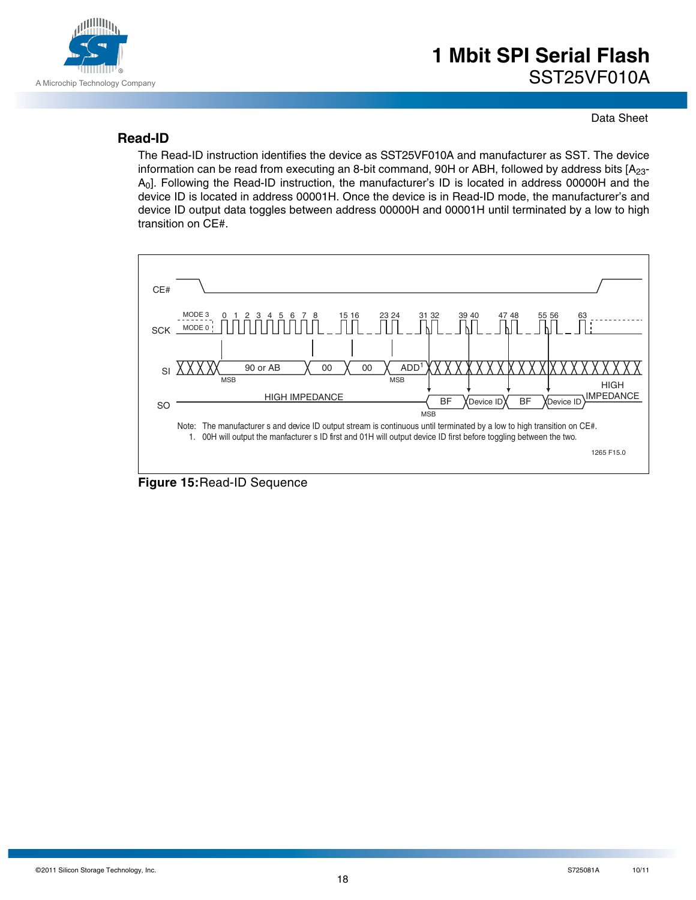

### **Read-ID**

The Read-ID instruction identifies the device as SST25VF010A and manufacturer as SST. The device information can be read from executing an 8-bit command, 90H or ABH, followed by address bits [A<sub>23</sub>-A0]. Following the Read-ID instruction, the manufacturer's ID is located in address 00000H and the device ID is located in address 00001H. Once the device is in Read-ID mode, the manufacturer's and device ID output data toggles between address 00000H and 00001H until terminated by a low to high transition on CE#.

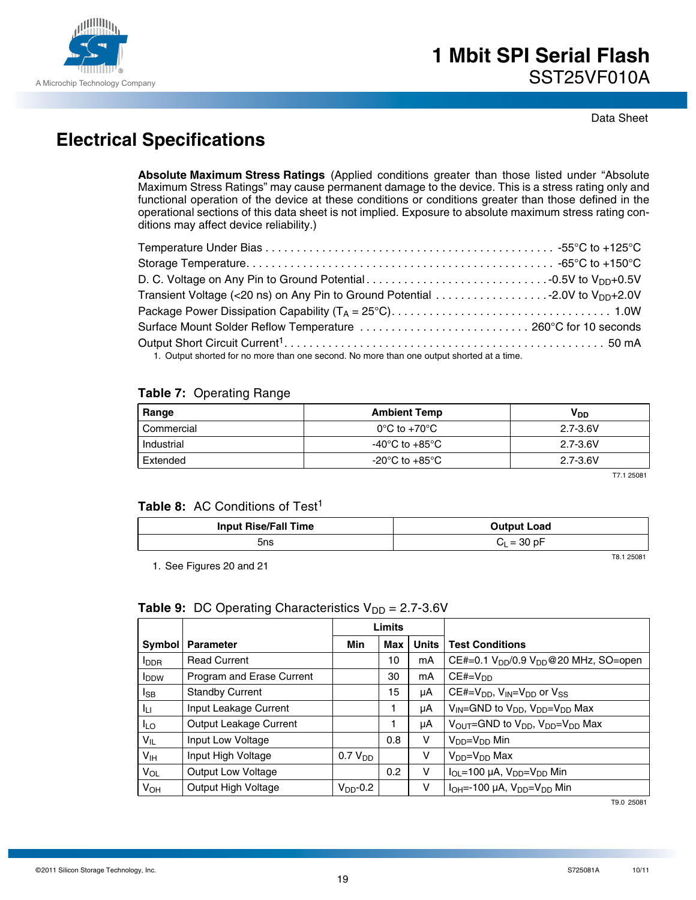

# **Electrical Specifications**

**Absolute Maximum Stress Ratings** (Applied conditions greater than those listed under "Absolute Maximum Stress Ratings" may cause permanent damage to the device. This is a stress rating only and functional operation of the device at these conditions or conditions greater than those defined in the operational sections of this data sheet is not implied. Exposure to absolute maximum stress rating conditions may affect device reliability.)

| Transient Voltage (<20 ns) on Any Pin to Ground Potential 2.0V to V <sub>DD</sub> +2.0V  |  |
|------------------------------------------------------------------------------------------|--|
|                                                                                          |  |
|                                                                                          |  |
|                                                                                          |  |
| 1. Output shorted for no more than ano second. No more than ano output shorted at a time |  |

1. Output shorted for no more than one second. No more than one output shorted at a time.

#### **Table 7:** Operating Range

| Range        | <b>Ambient Temp</b>               | Voo          |  |  |
|--------------|-----------------------------------|--------------|--|--|
| ' Commercial | $0^{\circ}$ C to +70 $^{\circ}$ C | $2.7 - 3.6V$ |  |  |
| Industrial   | -40°C to +85°C                    | $2.7 - 3.6V$ |  |  |
| Extended     | -20°C to +85°C                    | $2.7 - 3.6V$ |  |  |

T7.1 25081

### Table 8: AC Conditions of Test<sup>1</sup>

| <b>Input Rise/Fall Time</b> | <b>Output Load</b> |  |  |
|-----------------------------|--------------------|--|--|
| 5ns                         | $C_L = 30 pF$      |  |  |

1. See Figures 20 and 21

T8.1 25081

#### **Table 9:** DC Operating Characteristics  $V_{DD} = 2.7 - 3.6V$

|                         |                           |                     | <b>Limits</b> |              |                                                                                  |
|-------------------------|---------------------------|---------------------|---------------|--------------|----------------------------------------------------------------------------------|
| Symbol                  | <b>Parameter</b>          | Min                 | Max           | <b>Units</b> | <b>Test Conditions</b>                                                           |
| <b>I</b> <sub>DDR</sub> | <b>Read Current</b>       |                     | 10            | mA           | CE#=0.1 V <sub>DD</sub> /0.9 V <sub>DD</sub> @20 MHz, SO=open                    |
| <b>I</b> <sub>DDW</sub> | Program and Erase Current |                     | 30            | mA           | $CE#=VDD$                                                                        |
| lsb                     | <b>Standby Current</b>    |                     | 15            | μA           | $CE#=V_{DD}$ , $V_{IN}=V_{DD}$ or $V_{SS}$                                       |
| ILL.                    | Input Leakage Current     |                     |               | μA           | $V_{IN}$ =GND to $V_{DD}$ , $V_{DD}$ = $V_{DD}$ Max                              |
| I <sub>LO</sub>         | Output Leakage Current    |                     | 1             | μA           | $V_{\text{OUT}}$ =GND to $V_{\text{DD}}$ , $V_{\text{DD}}$ = $V_{\text{DD}}$ Max |
| $V_{IL}$                | Input Low Voltage         |                     | 0.8           | v            | V <sub>DD</sub> =V <sub>DD</sub> Min                                             |
| V <sub>IH</sub>         | Input High Voltage        | 0.7 V <sub>DD</sub> |               | v            | $V_{DD} = V_{DD}$ Max                                                            |
| VOL                     | Output Low Voltage        |                     | 0.2           | v            | $I_{OL}$ =100 µA, $V_{DD}$ = $V_{DD}$ Min                                        |
| <b>V<sub>OH</sub></b>   | Output High Voltage       | $V_{DD}$ -0.2       |               | v            | $I_{OH} = -100 \mu A$ , $V_{DD} = V_{DD}$ Min                                    |

T9.0 25081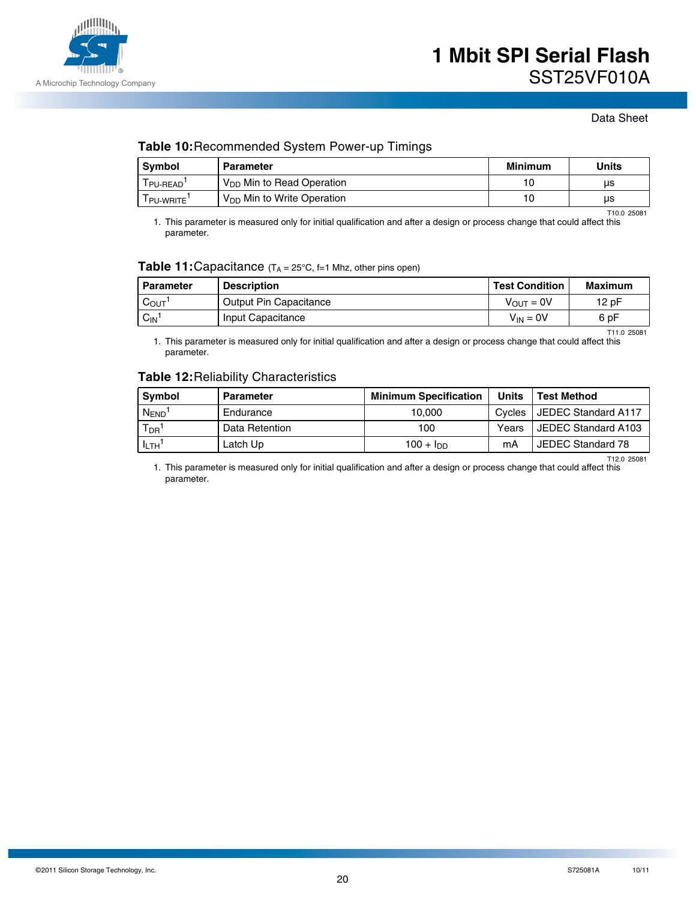

#### **Table 10:**Recommended System Power-up Timings

| Symbol          | <b>Parameter</b>                      | Minimum | Units |
|-----------------|---------------------------------------|---------|-------|
| PU-READ'        | V <sub>DD</sub> Min to Read Operation | 10      | μs    |
| <b>PU-WRITE</b> | $V_{DD}$ Min to Write Operation       | 10      | us    |

1. This parameter is measured only for initial qualification and after a design or process change that could affect this parameter. T10.0 25081

#### **Table 11: Capacitance** (T<sub>A</sub> = 25°C, f=1 Mhz, other pins open)

| Parameter                     | <b>Description</b>     | l Test Condition | Maximum |
|-------------------------------|------------------------|------------------|---------|
| $C_{\text{OUT}}$ <sup>1</sup> | Output Pin Capacitance | $V_{OUT} = 0V$   | 12 pF   |
| $C_{IN}$                      | Input Capacitance      | $V_{IN} = 0V$    | 6 pF    |

T11.0 25081

1. This parameter is measured only for initial qualification and after a design or process change that could affect this parameter.

#### **Table 12:**Reliability Characteristics

| Svmbol                | <b>Parameter</b> | <b>Minimum Specification</b> | <b>Units</b> | <b>Test Method</b>  |
|-----------------------|------------------|------------------------------|--------------|---------------------|
| <b>NEND</b>           | Endurance        | 10.000                       | Cvcles       | JEDEC Standard A117 |
| $T_{DR}$ <sup>1</sup> | Data Retention   | 100                          | Years        | JEDEC Standard A103 |
| $I_{LTH}$             | Latch Up         | 100 + $Inn$                  | mΑ           | JEDEC Standard 78   |
|                       |                  |                              |              | T12.0 25081         |

1. This parameter is measured only for initial qualification and after a design or process change that could affect this parameter.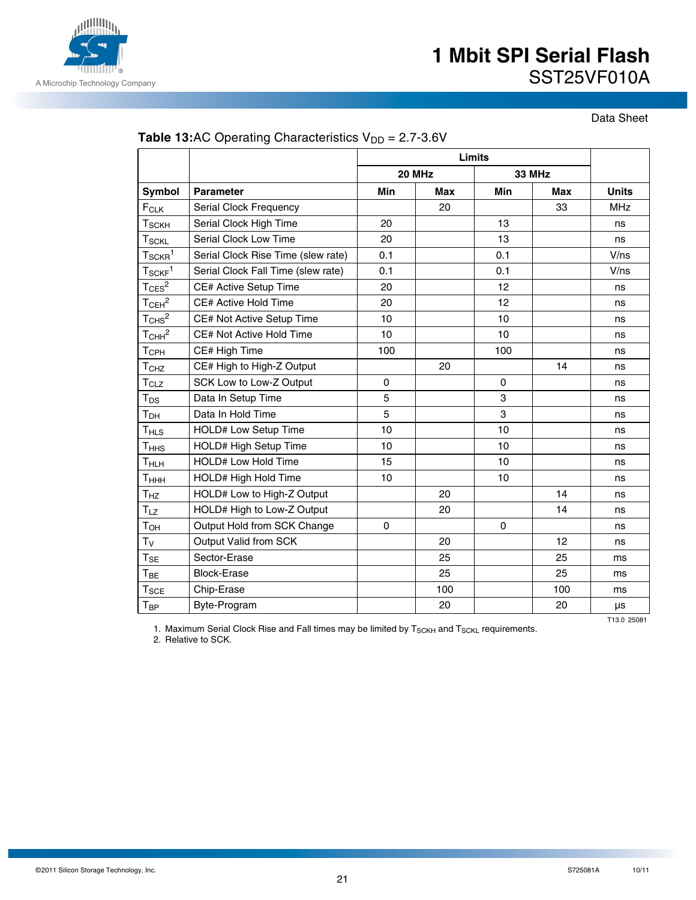

Data Sheet

|                               |                                    | Limits      |        |          |               |              |
|-------------------------------|------------------------------------|-------------|--------|----------|---------------|--------------|
|                               |                                    |             | 20 MHz |          | <b>33 MHz</b> |              |
| Symbol                        | <b>Parameter</b>                   | Min         | Max    | Min      | Max           | <b>Units</b> |
| FCLK                          | Serial Clock Frequency             |             | 20     |          | 33            | <b>MHz</b>   |
| $\sf T_{SCKH}$                | Serial Clock High Time             | 20          |        | 13       |               | ns           |
| T <sub>SCKL</sub>             | Serial Clock Low Time              | 20          |        | 13       |               | ns           |
| $T_{\rm SCKR}{}^{1}$          | Serial Clock Rise Time (slew rate) | 0.1         |        | 0.1      |               | V/ns         |
| $T_{SCKF}$ <sup>1</sup>       | Serial Clock Fall Time (slew rate) | 0.1         |        | 0.1      |               | V/ns         |
| $T_{CES}^2$                   | CE# Active Setup Time              | 20          |        | 12       |               | ns           |
| $T_{\text{CEH}}^2$            | CE# Active Hold Time               | 20          |        | 12       |               | ns           |
| $T_{CHS}^2$                   | CE# Not Active Setup Time          | 10          |        | 10       |               | ns           |
| T <sub>CHH</sub> <sup>2</sup> | CE# Not Active Hold Time           | 10          |        | 10       |               | ns           |
| T <sub>CPH</sub>              | CE# High Time                      | 100         |        | 100      |               | ns           |
| T <sub>CHZ</sub>              | CE# High to High-Z Output          |             | 20     |          | 14            | ns           |
| T <sub>CLZ</sub>              | SCK Low to Low-Z Output            | $\mathbf 0$ |        | 0        |               | ns           |
| $T_{DS}$                      | Data In Setup Time                 | 5           |        | 3        |               | ns           |
| Т <sub>рн</sub>               | Data In Hold Time                  | 5           |        | 3        |               | ns           |
| T <sub>HLS</sub>              | HOLD# Low Setup Time               | 10          |        | 10       |               | ns           |
| T <sub>HHS</sub>              | HOLD# High Setup Time              | 10          |        | 10       |               | ns           |
| T <sub>HLH</sub>              | <b>HOLD# Low Hold Time</b>         | 15          |        | 10       |               | ns           |
| Тннн                          | HOLD# High Hold Time               | 10          |        | 10       |               | ns           |
| T <sub>HZ</sub>               | HOLD# Low to High-Z Output         |             | 20     |          | 14            | ns           |
| T <sub>LZ</sub>               | HOLD# High to Low-Z Output         |             | 20     |          | 14            | ns           |
| $T_{OH}$                      | Output Hold from SCK Change        | $\mathbf 0$ |        | $\Omega$ |               | ns           |
| $T_V$                         | Output Valid from SCK              |             | 20     |          | 12            | ns           |
| $T_{SE}$                      | Sector-Erase                       |             | 25     |          | 25            | ms           |
| $T_{BE}$                      | <b>Block-Erase</b>                 |             | 25     |          | 25            | ms           |
| $\mathsf{T}_{\mathsf{SCE}}$   | Chip-Erase                         |             | 100    |          | 100           | ms           |
| Твр                           | Byte-Program                       |             | 20     |          | 20            | μs           |
|                               |                                    |             |        |          |               | T13.0 25081  |

### **Table 13:**AC Operating Characteristics  $V_{DD} = 2.7 - 3.6V$

1. Maximum Serial Clock Rise and Fall times may be limited by  $T_{SCKH}$  and  $T_{SCKL}$  requirements.

2. Relative to SCK.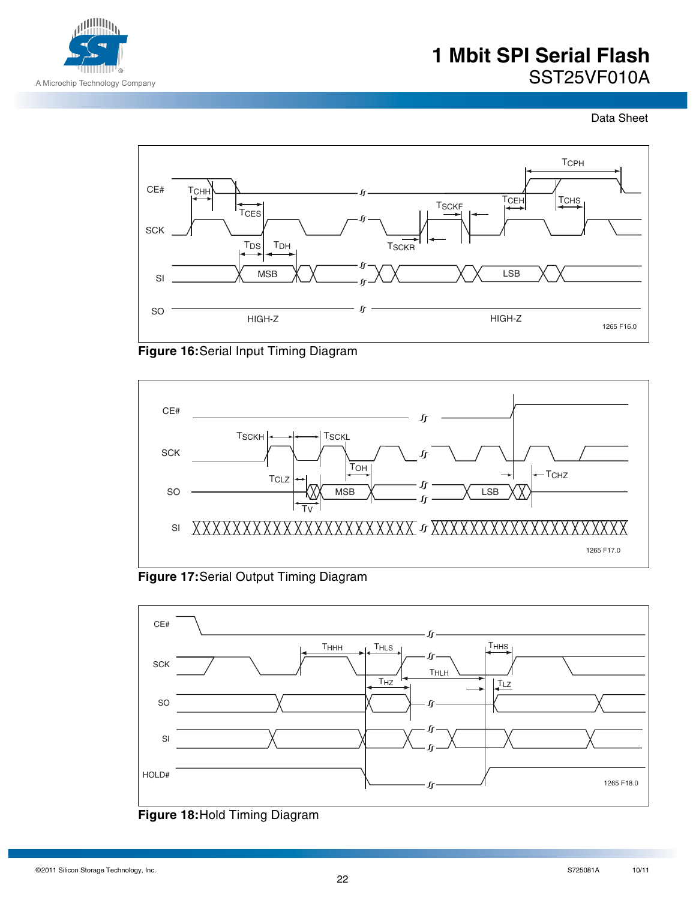

Data Sheet







**Figure 17:**Serial Output Timing Diagram



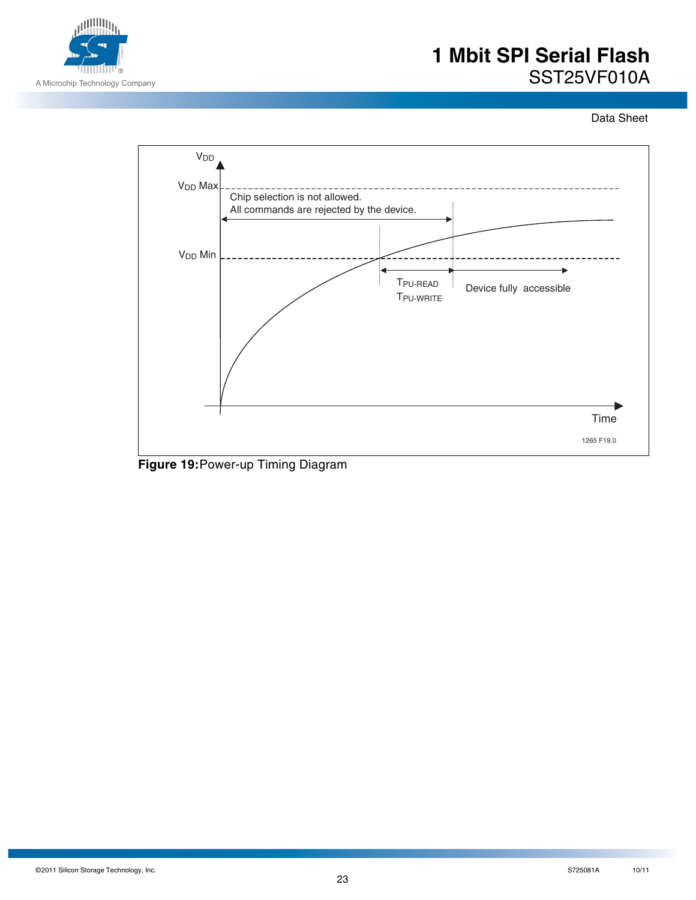

Data Sheet



**Figure 19:**Power-up Timing Diagram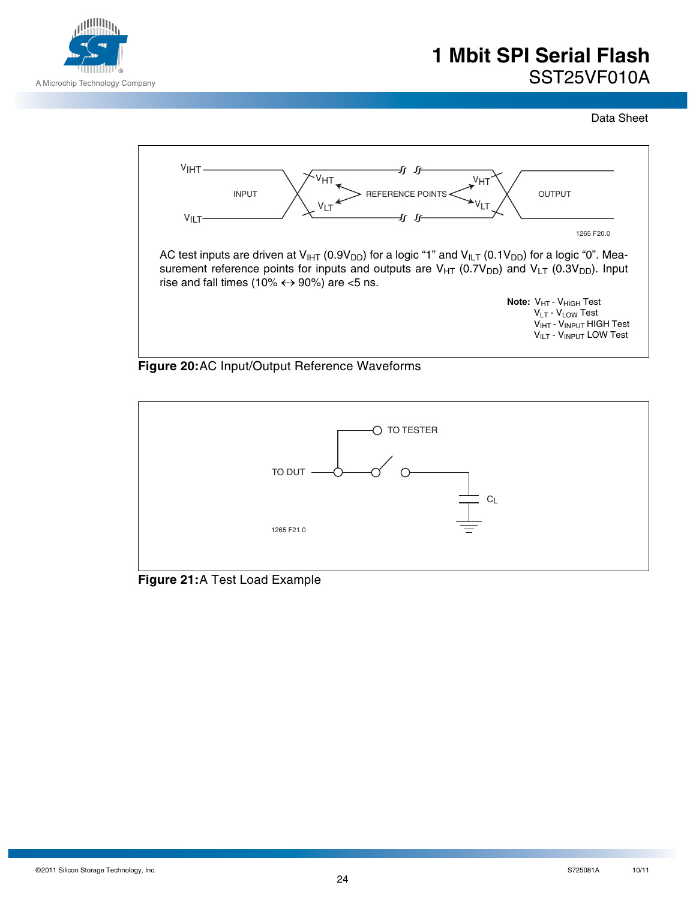

Data Sheet







**Figure 21:**A Test Load Example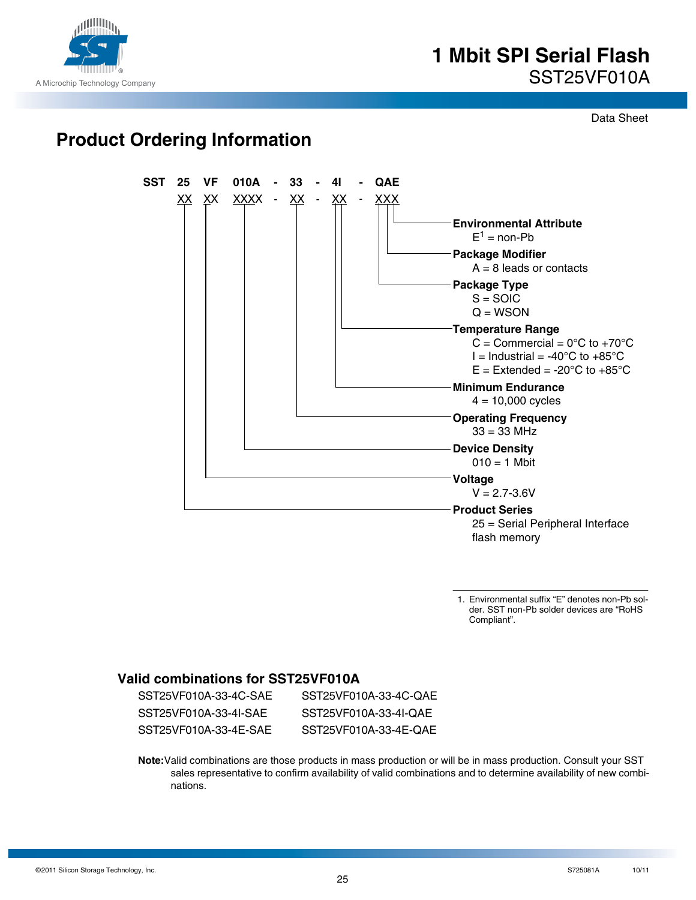

Data Sheet

# **Product Ordering Information**



1. Environmental suffix "E" denotes non-Pb solder. SST non-Pb solder devices are "RoHS Compliant".

### **Valid combinations for SST25VF010A**

| SST25VF010A-33-4C-SAE | SST25VF010A-33-4C-OAE |
|-----------------------|-----------------------|
| SST25VF010A-33-4I-SAF | SST25VF010A-33-4I-OAE |
| SST25VF010A-33-4E-SAE | SST25VF010A-33-4E-OAE |

**Note:**Valid combinations are those products in mass production or will be in mass production. Consult your SST sales representative to confirm availability of valid combinations and to determine availability of new combinations.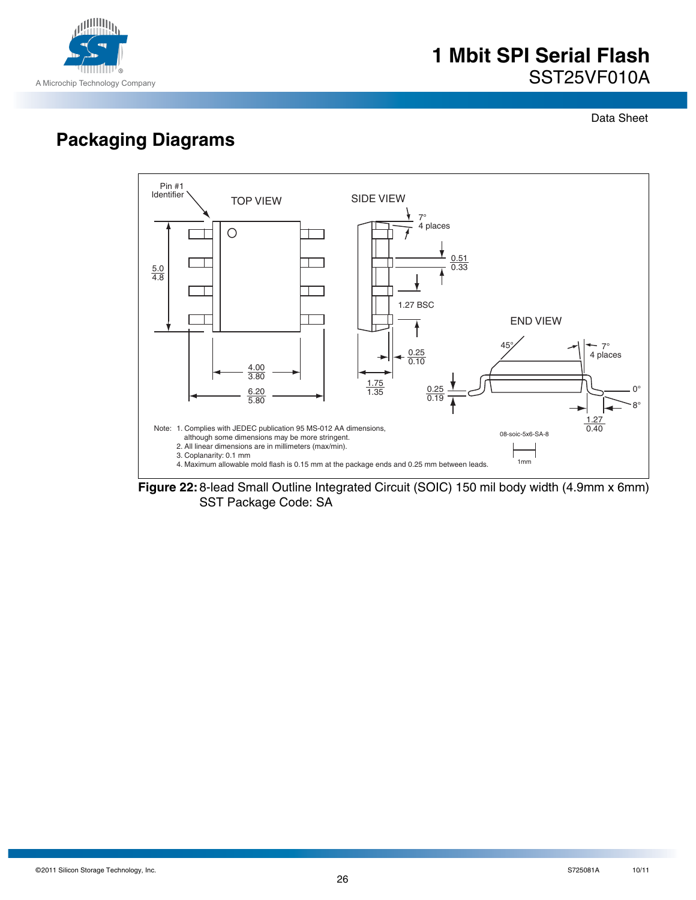

Data Sheet

# **Packaging Diagrams**



**Figure 22:**8-lead Small Outline Integrated Circuit (SOIC) 150 mil body width (4.9mm x 6mm) SST Package Code: SA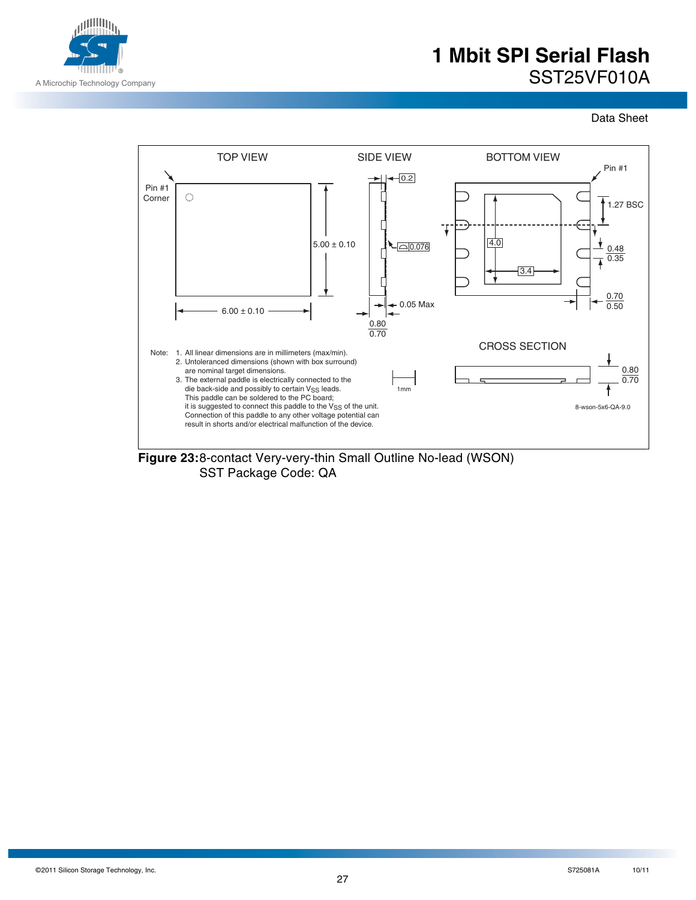

Data Sheet



SST Package Code: QA